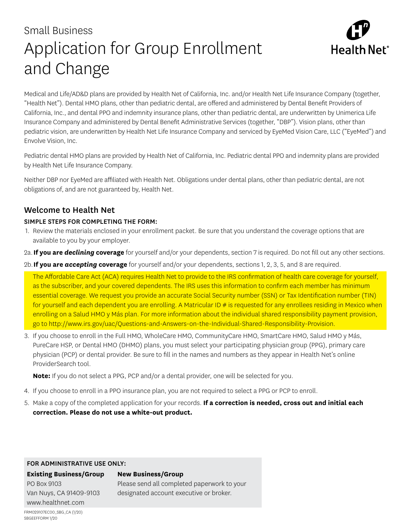# Small Business Application for Group Enrollment and Change



Medical and Life/AD&D plans are provided by Health Net of California, Inc. and/or Health Net Life Insurance Company (together, "Health Net"). Dental HMO plans, other than pediatric dental, are offered and administered by Dental Benefit Providers of California, Inc., and dental PPO and indemnity insurance plans, other than pediatric dental, are underwritten by Unimerica Life Insurance Company and administered by Dental Benefit Administrative Services (together, "DBP"). Vision plans, other than pediatric vision, are underwritten by Health Net Life Insurance Company and serviced by EyeMed Vision Care, LLC ("EyeMed") and Envolve Vision, Inc.

Pediatric dental HMO plans are provided by Health Net of California, Inc. Pediatric dental PPO and indemnity plans are provided by Health Net Life Insurance Company.

Neither DBP nor EyeMed are affiliated with Health Net. Obligations under dental plans, other than pediatric dental, are not obligations of, and are not guaranteed by, Health Net.

## Welcome to Health Net

### SIMPLE STEPS FOR COMPLETING THE FORM:

- 1. Review the materials enclosed in your enrollment packet. Be sure that you understand the coverage options that are available to you by your employer.
- 2a. **If you are** *declining* **coverage** for yourself and/or your dependents, section 7 is required. Do not fill out any other sections.
- 2b.**If you are** *accepting* **coverage** for yourself and/or your dependents, sections 1, 2, 3, 5, and 8 are required.

The Affordable Care Act (ACA) requires Health Net to provide to the IRS confirmation of health care coverage for yourself, as the subscriber, and your covered dependents. The IRS uses this information to confirm each member has minimum essential coverage. We request you provide an accurate Social Security number (SSN) or Tax Identification number (TIN) for yourself and each dependent you are enrolling. A Matricular ID # is requested for any enrollees residing in Mexico when enrolling on a Salud HMO y Más plan. For more information about the individual shared responsibility payment provision, go to http://www.irs.gov/uac/Questions-and-Answers-on-the-Individual-Shared-Responsibility-Provision.

3. If you choose to enroll in the Full HMO, WholeCare HMO, CommunityCare HMO, SmartCare HMO, Salud HMO y Más, PureCare HSP, or Dental HMO (DHMO) plans, you must select your participating physician group (PPG), primary care physician (PCP) or dental provider. Be sure to fill in the names and numbers as they appear in Health Net's online ProviderSearch tool.

**Note:** If you do not select a PPG, PCP and/or a dental provider, one will be selected for you.

- 4. If you choose to enroll in a PPO insurance plan, you are not required to select a PPG or PCP to enroll.
- 5. Make a copy of the completed application for your records. **If a correction is needed, cross out and initial each correction. Please do not use a white-out product.**

#### FOR ADMINISTRATIVE USE ONLY:

#### **Existing Business/Group New Business/Group**

PO Box 9103 Van Nuys, CA 91409-9103 www.healthnet.com

Please send all completed paperwork to your designated account executive or broker.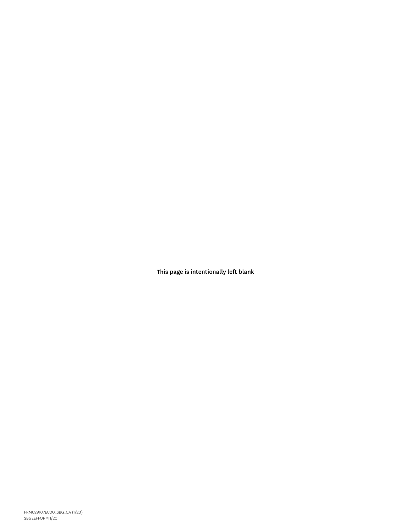This page is intentionally left blank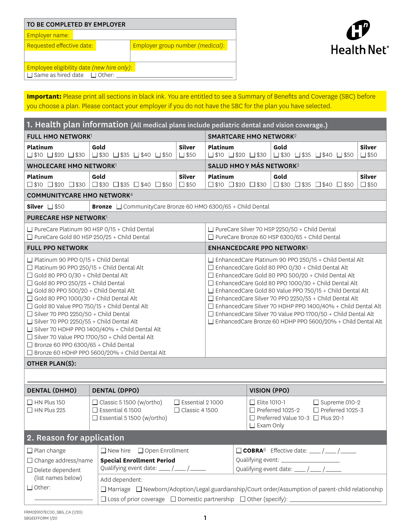| TO BE COMPLETED BY EMPLOYER                    |                                                                              |  |  |  |  |  |
|------------------------------------------------|------------------------------------------------------------------------------|--|--|--|--|--|
| Employer name:                                 |                                                                              |  |  |  |  |  |
| Requested effective date:                      | Employer group number (medical):                                             |  |  |  |  |  |
|                                                |                                                                              |  |  |  |  |  |
| Employee eligibility date (new hire only):     |                                                                              |  |  |  |  |  |
| $\Box$ Same as hired date $\Box$ Other: $\Box$ |                                                                              |  |  |  |  |  |
|                                                |                                                                              |  |  |  |  |  |
|                                                | Important: Dlogge print all costiene in block ink. You are entitled to see a |  |  |  |  |  |



**Important:** Please print all sections in black ink. You are entitled to see a Summary of Benefits and Coverage (SBC) before you choose a plan. Please contact your employer if you do not have the SBC for the plan you have selected.

| 1. Health plan information (All medical plans include pediatric dental and vision coverage.)                                                                                                                                                                                                                                                                                                                                                                                                                                                                                                                                                                                                                                                                                                                                                                                                                                                                                                                                                                                                                                                                                                                                                                   |                                                                                                 |                                                                                                                                                                                                           |                                                                                                      |                                              |                                                                                                         |                                 |
|----------------------------------------------------------------------------------------------------------------------------------------------------------------------------------------------------------------------------------------------------------------------------------------------------------------------------------------------------------------------------------------------------------------------------------------------------------------------------------------------------------------------------------------------------------------------------------------------------------------------------------------------------------------------------------------------------------------------------------------------------------------------------------------------------------------------------------------------------------------------------------------------------------------------------------------------------------------------------------------------------------------------------------------------------------------------------------------------------------------------------------------------------------------------------------------------------------------------------------------------------------------|-------------------------------------------------------------------------------------------------|-----------------------------------------------------------------------------------------------------------------------------------------------------------------------------------------------------------|------------------------------------------------------------------------------------------------------|----------------------------------------------|---------------------------------------------------------------------------------------------------------|---------------------------------|
| <b>FULL HMO NETWORK1</b>                                                                                                                                                                                                                                                                                                                                                                                                                                                                                                                                                                                                                                                                                                                                                                                                                                                                                                                                                                                                                                                                                                                                                                                                                                       |                                                                                                 | <b>SMARTCARE HMO NETWORK2</b>                                                                                                                                                                             |                                                                                                      |                                              |                                                                                                         |                                 |
| <b>Platinum</b>                                                                                                                                                                                                                                                                                                                                                                                                                                                                                                                                                                                                                                                                                                                                                                                                                                                                                                                                                                                                                                                                                                                                                                                                                                                | Gold<br>□\$10 □\$20 □\$30 □\$30 □\$35 □\$40 □\$50                                               | <b>Silver</b><br>$\square$ \$50                                                                                                                                                                           | <b>Platinum</b>                                                                                      | $\square$ \$10 $\square$ \$20 $\square$ \$30 | Gold<br>$\square$ \$30 $\square$ \$35 $\square$ \$40 $\square$ \$50                                     | <b>Silver</b><br>$\square$ \$50 |
| <b>WHOLECARE HMO NETWORK1</b>                                                                                                                                                                                                                                                                                                                                                                                                                                                                                                                                                                                                                                                                                                                                                                                                                                                                                                                                                                                                                                                                                                                                                                                                                                  |                                                                                                 |                                                                                                                                                                                                           |                                                                                                      | <b>SALUD HMO Y MÁS NETWORK3</b>              |                                                                                                         |                                 |
| Platinum                                                                                                                                                                                                                                                                                                                                                                                                                                                                                                                                                                                                                                                                                                                                                                                                                                                                                                                                                                                                                                                                                                                                                                                                                                                       | Gold<br>□\$10 □\$20 □\$30 □\$30 □\$35 □\$40 □\$50                                               | <b>Silver</b><br>$\square$ \$50                                                                                                                                                                           | Platinum                                                                                             | $\square$ \$10 $\square$ \$20 $\square$ \$30 | Gold<br>$\square$ \$30 $\square$ \$35 $\square$ \$40 $\square$ \$50                                     | <b>Silver</b><br>$\square$ \$50 |
| <b>COMMUNITYCARE HMO NETWORK4</b>                                                                                                                                                                                                                                                                                                                                                                                                                                                                                                                                                                                                                                                                                                                                                                                                                                                                                                                                                                                                                                                                                                                                                                                                                              |                                                                                                 |                                                                                                                                                                                                           |                                                                                                      |                                              |                                                                                                         |                                 |
| Silver $\square$ \$50                                                                                                                                                                                                                                                                                                                                                                                                                                                                                                                                                                                                                                                                                                                                                                                                                                                                                                                                                                                                                                                                                                                                                                                                                                          | <b>Bronze</b> $\Box$ CommunityCare Bronze 60 HMO 6300/65 + Child Dental                         |                                                                                                                                                                                                           |                                                                                                      |                                              |                                                                                                         |                                 |
| <b>PURECARE HSP NETWORK1</b>                                                                                                                                                                                                                                                                                                                                                                                                                                                                                                                                                                                                                                                                                                                                                                                                                                                                                                                                                                                                                                                                                                                                                                                                                                   |                                                                                                 |                                                                                                                                                                                                           |                                                                                                      |                                              |                                                                                                         |                                 |
| $\Box$ PureCare Gold 80 HSP 250/25 + Child Dental                                                                                                                                                                                                                                                                                                                                                                                                                                                                                                                                                                                                                                                                                                                                                                                                                                                                                                                                                                                                                                                                                                                                                                                                              | $\Box$ PureCare Platinum 90 HSP 0/15 + Child Dental                                             |                                                                                                                                                                                                           |                                                                                                      |                                              | $\Box$ PureCare Silver 70 HSP 2250/50 + Child Dental<br>□ PureCare Bronze 60 HSP 6300/65 + Child Dental |                                 |
| <b>FULL PPO NETWORK</b>                                                                                                                                                                                                                                                                                                                                                                                                                                                                                                                                                                                                                                                                                                                                                                                                                                                                                                                                                                                                                                                                                                                                                                                                                                        |                                                                                                 |                                                                                                                                                                                                           |                                                                                                      |                                              | <b>ENHANCEDCARE PPO NETWORK5</b>                                                                        |                                 |
| $\Box$ EnhancedCare Platinum 90 PPO 250/15 + Child Dental Alt<br>$\Box$ Platinum 90 PPO 0/15 + Child Dental<br>$\Box$ Platinum 90 PPO 250/15 + Child Dental Alt<br>□ EnhancedCare Gold 80 PPO 0/30 + Child Dental Alt<br>$\Box$ Gold 80 PPO 0/30 + Child Dental Alt<br>□ EnhancedCare Gold 80 PPO 500/20 + Child Dental Alt<br>$\Box$ Gold 80 PPO 250/25 + Child Dental<br>□ EnhancedCare Gold 80 PPO 1000/30 + Child Dental Alt<br>□ EnhancedCare Gold 80 Value PPO 750/15 + Child Dental Alt<br>$\Box$ Gold 80 PPO 500/20 + Child Dental Alt<br>$\Box$ Gold 80 PPO 1000/30 + Child Dental Alt<br>□ EnhancedCare Silver 70 PPO 2250/55 + Child Dental Alt<br>□ EnhancedCare Silver 70 HDHP PPO 1400/40% + Child Dental Alt<br>$\Box$ Gold 80 Value PPO 750/15 + Child Dental Alt<br>□ EnhancedCare Silver 70 Value PPO 1700/50 + Child Dental Alt<br>$\Box$ Silver 70 PPO 2250/50 + Child Dental<br>$\Box$ Silver 70 PPO 2250/55 + Child Dental Alt<br>□ EnhancedCare Bronze 60 HDHP PPO 5600/20% + Child Dental Alt<br>$\Box$ Silver 70 HDHP PPO 1400/40% + Child Dental Alt<br>□ Silver 70 Value PPO 1700/50 + Child Dental Alt<br>$\Box$ Bronze 60 PPO 6300/65 + Child Dental<br>□ Bronze 60 HDHP PPO 5600/20% + Child Dental Alt<br><b>OTHER PLAN(S):</b> |                                                                                                 |                                                                                                                                                                                                           |                                                                                                      |                                              |                                                                                                         |                                 |
| <b>DENTAL (DHMO)</b>                                                                                                                                                                                                                                                                                                                                                                                                                                                                                                                                                                                                                                                                                                                                                                                                                                                                                                                                                                                                                                                                                                                                                                                                                                           | <b>DENTAL (DPPO)</b>                                                                            |                                                                                                                                                                                                           |                                                                                                      | <b>VISION (PPO)</b>                          |                                                                                                         |                                 |
| $\Box$ HN Plus 150<br>$\Box$ HN Plus 225                                                                                                                                                                                                                                                                                                                                                                                                                                                                                                                                                                                                                                                                                                                                                                                                                                                                                                                                                                                                                                                                                                                                                                                                                       | $\Box$ Classic 5 1500 (w/ortho)<br>$\Box$ Essential 6 1500<br>$\Box$ Essential 5 1500 (w/ortho) | $\Box$ Essential 21000<br>$\Box$ Elite 1010-1<br>□ Supreme 010-2<br>□ Preferred 1025-2<br>□ Preferred 1025-3<br>$\Box$ Classic 4 1500<br>$\Box$ Preferred Value 10-3 $\Box$ Plus 20-1<br>$\Box$ Exam Only |                                                                                                      |                                              |                                                                                                         |                                 |
| 2. Reason for application                                                                                                                                                                                                                                                                                                                                                                                                                                                                                                                                                                                                                                                                                                                                                                                                                                                                                                                                                                                                                                                                                                                                                                                                                                      |                                                                                                 |                                                                                                                                                                                                           |                                                                                                      |                                              |                                                                                                         |                                 |
| $\Box$ Plan change<br>$\Box$ New hire $\Box$ Open Enrollment<br>$\Box$ Change address/name<br><b>Special Enrollment Period</b><br>Qualifying event date: ____ /____ /_____<br>$\Box$ Delete dependent<br>(list names below)<br>Add dependent:                                                                                                                                                                                                                                                                                                                                                                                                                                                                                                                                                                                                                                                                                                                                                                                                                                                                                                                                                                                                                  |                                                                                                 | $\Box$ COBRA <sup>6</sup> Effective date: $\_\_\_\/$<br>Qualifying event: _____________________<br>Qualifying event date: ____ /____ /_____                                                               |                                                                                                      |                                              |                                                                                                         |                                 |
| $\Box$ Other:<br>$\Box$ Loss of prior coverage $\Box$ Domestic partnership $\Box$ Other (specify): $\Box$                                                                                                                                                                                                                                                                                                                                                                                                                                                                                                                                                                                                                                                                                                                                                                                                                                                                                                                                                                                                                                                                                                                                                      |                                                                                                 |                                                                                                                                                                                                           | □ Marriage □ Newborn/Adoption/Legal guardianship/Court order/Assumption of parent-child relationship |                                              |                                                                                                         |                                 |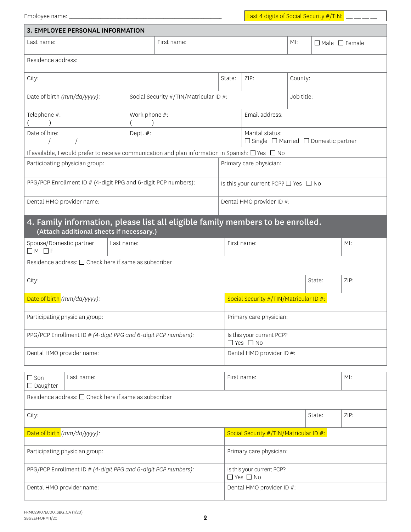Employee name: \_\_\_\_\_\_\_\_\_\_\_\_\_\_\_\_\_\_\_\_\_\_\_\_\_\_\_\_\_\_\_\_\_\_\_\_\_\_\_\_\_\_\_\_\_\_\_\_\_\_\_\_\_\_\_\_\_\_\_\_\_\_\_\_\_\_\_\_ Last 4 digits of Social Security #/TIN: \_\_\_ \_\_\_ \_\_\_ \_\_\_

| 3. EMPLOYEE PERSONAL INFORMATION                                                                                           |               |                                        |                                                   |                                                                         |     |        |                           |
|----------------------------------------------------------------------------------------------------------------------------|---------------|----------------------------------------|---------------------------------------------------|-------------------------------------------------------------------------|-----|--------|---------------------------|
| First name:<br>Last name:                                                                                                  |               |                                        |                                                   |                                                                         | MI: |        | $\Box$ Male $\Box$ Female |
| Residence address:                                                                                                         |               |                                        |                                                   |                                                                         |     |        |                           |
| City:                                                                                                                      | State:        | ZIP:                                   | County:                                           |                                                                         |     |        |                           |
| Date of birth (mm/dd/yyyy):                                                                                                |               | Social Security #/TIN/Matricular ID #: |                                                   | Job title:                                                              |     |        |                           |
| Telephone #:                                                                                                               | Work phone #: |                                        |                                                   | Email address:                                                          |     |        |                           |
| Date of hire:                                                                                                              | Dept. #:      |                                        |                                                   | Marital status:<br>$\Box$ Single $\Box$ Married $\Box$ Domestic partner |     |        |                           |
| If available, I would prefer to receive communication and plan information in Spanish: $\Box$ Yes $\Box$ No                |               |                                        |                                                   |                                                                         |     |        |                           |
| Participating physician group:                                                                                             |               |                                        |                                                   | Primary care physician:                                                 |     |        |                           |
| PPG/PCP Enrollment ID # (4-digit PPG and 6-digit PCP numbers):                                                             |               |                                        |                                                   | Is this your current PCP? $\Box$ Yes $\Box$ No                          |     |        |                           |
| Dental HMO provider name:                                                                                                  |               |                                        |                                                   | Dental HMO provider ID #:                                               |     |        |                           |
| 4. Family information, please list all eligible family members to be enrolled.<br>(Attach additional sheets if necessary.) |               |                                        |                                                   |                                                                         |     |        |                           |
| Spouse/Domestic partner<br>Last name:<br>$\Box M$ $\Box F$                                                                 |               |                                        |                                                   | First name:<br>$M!$ :                                                   |     |        |                           |
| Residence address: □ Check here if same as subscriber                                                                      |               |                                        |                                                   |                                                                         |     |        |                           |
| City:                                                                                                                      |               |                                        |                                                   |                                                                         |     | State: | ZIP:                      |
| Date of birth (mm/dd/yyyy):                                                                                                |               |                                        |                                                   | Social Security #/TIN/Matricular ID #:                                  |     |        |                           |
| Participating physician group:                                                                                             |               |                                        |                                                   | Primary care physician:                                                 |     |        |                           |
| PPG/PCP Enrollment ID # (4-digit PPG and 6-digit PCP numbers):                                                             |               |                                        | Is this your current PCP?<br>$\Box$ Yes $\Box$ No |                                                                         |     |        |                           |
| Dental HMO provider name:                                                                                                  |               |                                        | Dental HMO provider ID #:                         |                                                                         |     |        |                           |
| $\Box$ Son<br>Last name:<br>$\Box$ Daughter                                                                                |               |                                        | First name:<br>MI:                                |                                                                         |     |        |                           |
| Residence address: □ Check here if same as subscriber                                                                      |               |                                        |                                                   |                                                                         |     |        |                           |
| State:<br>ZIP:<br>City:                                                                                                    |               |                                        |                                                   |                                                                         |     |        |                           |
| Date of birth (mm/dd/yyyy):                                                                                                |               |                                        |                                                   | Social Security #/TIN/Matricular ID #:                                  |     |        |                           |
| Participating physician group:                                                                                             |               |                                        | Primary care physician:                           |                                                                         |     |        |                           |
| PPG/PCP Enrollment ID # (4-digit PPG and 6-digit PCP numbers):                                                             |               |                                        |                                                   | Is this your current PCP?<br>$\Box$ Yes $\Box$ No                       |     |        |                           |
| Dental HMO provider name:                                                                                                  |               | Dental HMO provider ID #:              |                                                   |                                                                         |     |        |                           |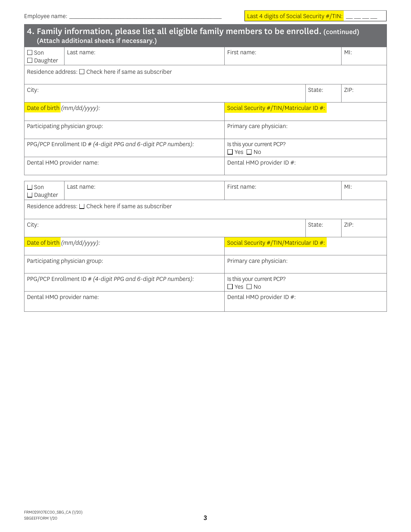|                                                            | 4. Family information, please list all eligible family members to be enrolled. (continued)<br>(Attach additional sheets if necessary.) |                                                   |      |     |  |  |  |
|------------------------------------------------------------|----------------------------------------------------------------------------------------------------------------------------------------|---------------------------------------------------|------|-----|--|--|--|
| $\Box$ Son<br>$\Box$ Daughter                              | Last name:                                                                                                                             | First name:                                       |      | MI: |  |  |  |
| Residence address: $\Box$ Check here if same as subscriber |                                                                                                                                        |                                                   |      |     |  |  |  |
| City:                                                      |                                                                                                                                        |                                                   | ZIP: |     |  |  |  |
|                                                            | Date of birth (mm/dd/yyyy):                                                                                                            | Social Security #/TIN/Matricular ID #:            |      |     |  |  |  |
|                                                            | Participating physician group:                                                                                                         | Primary care physician:                           |      |     |  |  |  |
|                                                            | PPG/PCP Enrollment ID # (4-digit PPG and 6-digit PCP numbers):                                                                         | Is this your current PCP?<br>$\Box$ Yes $\Box$ No |      |     |  |  |  |
| Dental HMO provider name:                                  |                                                                                                                                        | Dental HMO provider ID #:                         |      |     |  |  |  |
| $\Box$ Son<br>$\Box$ Daughter                              | Last name:                                                                                                                             | $M!$ :<br>First name:                             |      |     |  |  |  |
| Residence address: □ Check here if same as subscriber      |                                                                                                                                        |                                                   |      |     |  |  |  |
| City:                                                      |                                                                                                                                        | ZIP:<br>State:                                    |      |     |  |  |  |
|                                                            | Date of birth (mm/dd/yyyy):                                                                                                            | Social Security #/TIN/Matricular ID #:            |      |     |  |  |  |
|                                                            | Participating physician group:                                                                                                         | Primary care physician:                           |      |     |  |  |  |
|                                                            | PPG/PCP Enrollment ID # (4-digit PPG and 6-digit PCP numbers):                                                                         | Is this your current PCP?<br>$\Box$ Yes $\Box$ No |      |     |  |  |  |
| Dental HMO provider name:                                  |                                                                                                                                        | Dental HMO provider ID #:                         |      |     |  |  |  |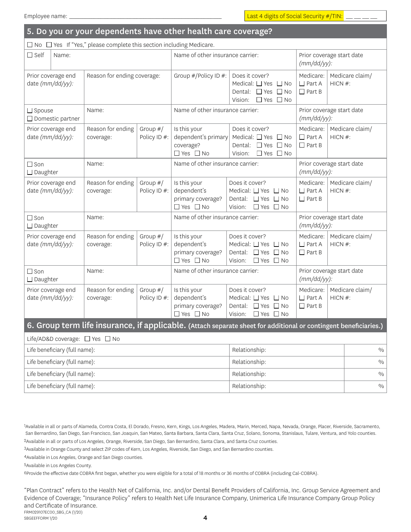| 5. Do you or your dependents have other health care coverage?                                                    |       |                                  |                                  |                                                                          |                                                                                                                    |                                             |                            |
|------------------------------------------------------------------------------------------------------------------|-------|----------------------------------|----------------------------------|--------------------------------------------------------------------------|--------------------------------------------------------------------------------------------------------------------|---------------------------------------------|----------------------------|
| $\Box$ No $\Box$ Yes If "Yes," please complete this section including Medicare.                                  |       |                                  |                                  |                                                                          |                                                                                                                    |                                             |                            |
| $\Box$ Self                                                                                                      | Name: |                                  | Name of other insurance carrier: |                                                                          | Prior coverage start date<br>$(mm/dd/yy)$ :                                                                        |                                             |                            |
| Prior coverage end<br>date (mm/dd/yy):                                                                           |       | Reason for ending coverage:      |                                  | Group #/Policy ID #:                                                     | Does it cover?<br>Medical: □ Yes □ No<br>Dental: $\Box$ Yes $\Box$ No<br>∩Yes ∩No<br>Vision:                       | Medicare:<br>$\Box$ Part A<br>$\Box$ Part B | Medicare claim/<br>HICN #: |
| $\Box$ Spouse<br>□ Domestic partner                                                                              |       | Name:                            |                                  | Name of other insurance carrier:                                         |                                                                                                                    | Prior coverage start date<br>$(mm/dd/yy)$ : |                            |
| Prior coverage end<br>date (mm/dd/yy):                                                                           |       | Reason for ending<br>coverage:   | Group $#/$<br>Policy ID #:       | Is this your<br>dependent's primary<br>coverage?<br>$\Box$ Yes $\Box$ No | Does it cover?<br>Medical: $\Box$ Yes $\Box$ No<br>Dental: $\Box$ Yes $\Box$ No<br>$\Box$ Yes $\Box$ No<br>Vision: | Medicare:<br>$\Box$ Part A<br>$\Box$ Part B | Medicare claim/<br>HICN #: |
| $\Box$ Son<br>$\Box$ Daughter                                                                                    |       | Name:                            |                                  | Name of other insurance carrier:                                         |                                                                                                                    | Prior coverage start date<br>$(mm/dd/yy)$ : |                            |
| Prior coverage end<br>date (mm/dd/yy):                                                                           |       | Reason for ending<br>coverage:   | Group $#/$<br>Policy ID #:       | Is this your<br>dependent's<br>primary coverage?<br>$\Box$ Yes $\Box$ No | Does it cover?<br>Medical: □ Yes □ No<br>Dental: $\Box$ Yes $\Box$ No<br>Vision:<br>$\Box$ Yes $\Box$ No           | Medicare:<br>$\Box$ Part A<br>$\Box$ Part B | Medicare claim/<br>HICN #: |
| $\Box$ Son<br>Name:<br>$\Box$ Daughter                                                                           |       | Name of other insurance carrier: |                                  | Prior coverage start date<br>$(mm/dd/yy)$ :                              |                                                                                                                    |                                             |                            |
| Prior coverage end<br>date (mm/dd/yy):                                                                           |       | Reason for ending<br>coverage:   | Group $#/$<br>Policy ID #:       | Is this your<br>dependent's<br>primary coverage?<br>$\Box$ Yes $\Box$ No | Does it cover?<br>Medical: □ Yes □ No<br>Dental: $\Box$ Yes<br>$\Box$ No<br>Vision:<br>$\Box$ Yes $\Box$ No        | Medicare:<br>$\Box$ Part A<br>$\Box$ Part B | Medicare claim/<br>HICN #: |
| $\Box$ Son<br>$\Box$ Daughter                                                                                    |       | Name:                            |                                  | Name of other insurance carrier:                                         |                                                                                                                    | Prior coverage start date<br>$(mm/dd/yy)$ : |                            |
| Prior coverage end<br>date (mm/dd/yy):                                                                           |       | Reason for ending<br>coverage:   | Group $#/$<br>Policy ID #:       | Is this your<br>dependent's<br>primary coverage?<br>$\Box$ Yes $\Box$ No | Does it cover?<br>Medical: $\Box$ Yes $\Box$ No<br>Dental: $\Box$ Yes $\Box$ No<br>$\Box$ Yes $\Box$ No<br>Vision: | Medicare:<br>$\Box$ Part A<br>$\Box$ Part B | Medicare claim/<br>HICN #: |
| 6. Group term life insurance, if applicable. (Attach separate sheet for additional or contingent beneficiaries.) |       |                                  |                                  |                                                                          |                                                                                                                    |                                             |                            |
| Life/AD&D coverage: □ Yes □ No                                                                                   |       |                                  |                                  |                                                                          |                                                                                                                    |                                             |                            |
| Life beneficiary (full name):                                                                                    |       |                                  |                                  | Relationship:                                                            |                                                                                                                    | $\frac{0}{0}$                               |                            |
| Life beneficiary (full name):                                                                                    |       |                                  |                                  | Relationship:                                                            |                                                                                                                    |                                             |                            |
| Life beneficiary (full name):                                                                                    |       |                                  |                                  |                                                                          | Relationship:                                                                                                      |                                             | $\frac{0}{0}$              |
| Life beneficiary (full name):                                                                                    |       |                                  |                                  |                                                                          | Relationship:                                                                                                      |                                             | $\frac{0}{0}$              |

1Available in all or parts of Alameda, Contra Costa, El Dorado, Fresno, Kern, Kings, Los Angeles, Madera, Marin, Merced, Napa, Nevada, Orange, Placer, Riverside, Sacramento, San Bernardino, San Diego, San Francisco, San Joaquin, San Mateo, Santa Barbara, Santa Cruz, Solano, Sanoma, Stanislaus, Tulare, Ventura, and Yolo counties. 2Available in all or parts of Los Angeles, Orange, Riverside, San Diego, San Bernardino, Santa Clara, and Santa Cruz counties.

3Available in Orange County and select ZIP codes of Kern, Los Angeles, Riverside, San Diego, and San Bernardino counties.

4Available in Los Angeles, Orange and San Diego counties.

5Available in Los Angeles County.

6Provide the effective date COBRA first began, whether you were eligible for a total of 18 months or 36 months of COBRA (including Cal-COBRA).

4 FRM029107EC00\_SBG\_CA (1/20) SBGEEFFORM 1/20 "Plan Contract" refers to the Health Net of California, Inc. and/or Dental Benefit Providers of California, Inc. Group Service Agreement and Evidence of Coverage; "Insurance Policy" refers to Health Net Life Insurance Company, Unimerica Life Insurance Company Group Policy and Certificate of Insurance.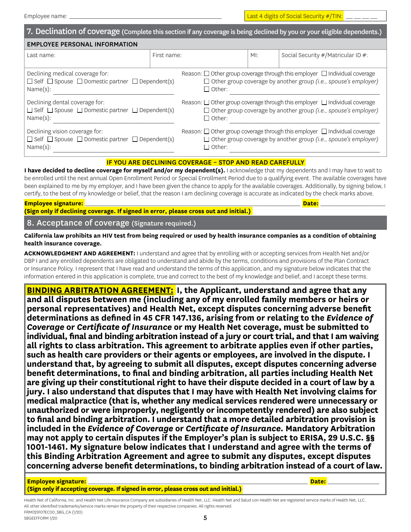| 7. Declination of coverage (Complete this section if any coverage is being declined by you or your eligible dependents.) |                                                                                      |                                                                                      |        |                                    |  |  |  |
|--------------------------------------------------------------------------------------------------------------------------|--------------------------------------------------------------------------------------|--------------------------------------------------------------------------------------|--------|------------------------------------|--|--|--|
| <b>EMPLOYEE PERSONAL INFORMATION</b>                                                                                     |                                                                                      |                                                                                      |        |                                    |  |  |  |
| Last name:                                                                                                               | First name:                                                                          |                                                                                      | $M!$ : | Social Security #/Matricular ID #: |  |  |  |
| Declining medical coverage for:                                                                                          | Reason: $\Box$ Other group coverage through this employer $\Box$ Individual coverage |                                                                                      |        |                                    |  |  |  |
| $\Box$ Self $\Box$ Spouse $\Box$ Domestic partner $\Box$ Dependent(s)                                                    | $\Box$ Other group coverage by another group (i.e., spouse's employer)               |                                                                                      |        |                                    |  |  |  |
| Name(s):                                                                                                                 | $\Box$ Other:                                                                        |                                                                                      |        |                                    |  |  |  |
| Declining dental coverage for:                                                                                           | Reason: $\Box$ Other group coverage through this employer $\Box$ Individual coverage |                                                                                      |        |                                    |  |  |  |
| $\Box$ Self $\Box$ Spouse $\Box$ Domestic partner $\Box$ Dependent(s)                                                    | $\Box$ Other group coverage by another group (i.e., spouse's employer)               |                                                                                      |        |                                    |  |  |  |
| Name(s):                                                                                                                 | $\Box$ Other:                                                                        |                                                                                      |        |                                    |  |  |  |
| Declining vision coverage for:                                                                                           |                                                                                      | Reason: $\Box$ Other group coverage through this employer $\Box$ Individual coverage |        |                                    |  |  |  |
| $\Box$ Self $\Box$ Spouse $\Box$ Domestic partner $\Box$ Dependent(s)                                                    |                                                                                      | $\Box$ Other group coverage by another group (i.e., spouse's employer)               |        |                                    |  |  |  |
| Name(s):                                                                                                                 |                                                                                      | $\Box$ Other:                                                                        |        |                                    |  |  |  |

#### IF YOU ARE DECLINING COVERAGE – STOP AND READ CAREFULLY

**I have decided to decline coverage for myself and/or my dependent(s).** I acknowledge that my dependents and I may have to wait to be enrolled until the next annual Open Enrollment Period or Special Enrollment Period due to a qualifying event. The available coverages have been explained to me by my employer, and I have been given the chance to apply for the available coverages. Additionally, by signing below, I certify, to the best of my knowledge or belief, that the reason I am declining coverage is accurate as indicated by the check marks above.

**Employee signature:** \_\_\_\_\_\_\_\_\_\_\_\_\_\_\_\_\_\_\_\_\_\_\_\_\_\_\_\_\_\_\_\_\_\_\_\_\_\_\_\_\_\_\_\_\_\_\_\_\_\_\_\_\_\_\_\_\_\_\_\_\_\_\_\_\_\_\_\_\_\_\_\_\_\_\_\_\_\_\_\_\_\_\_\_\_\_\_\_\_\_\_\_\_\_\_\_ **Date:** \_\_\_\_\_\_\_\_\_\_\_\_\_\_\_\_\_\_\_\_\_\_\_\_\_\_\_\_\_ **(Sign only if declining coverage. If signed in error, please cross out and initial.)**

8. Acceptance of coverage (Signature required.)

**California law prohibits an HIV test from being required or used by health insurance companies as a condition of obtaining health insurance coverage.**

**ACKNOWLEDGMENT AND AGREEMENT:** I understand and agree that by enrolling with or accepting services from Health Net and/or DBP I and any enrolled dependents are obligated to understand and abide by the terms, conditions and provisions of the Plan Contract or Insurance Policy. I represent that I have read and understand the terms of this application, and my signature below indicates that the information entered in this application is complete, true and correct to the best of my knowledge and belief, and I accept these terms.

**BINDING ARBITRATION AGREEMENT: I, the Applicant, understand and agree that any and all disputes between me (including any of my enrolled family members or heirs or personal representatives) and Health Net, except disputes concerning adverse benefit determinations as defined in 45 CFR 147.136, arising from or relating to the** *Evidence of Coverage* **or** *Certificate of Insurance* **or my Health Net coverage, must be submitted to individual, final and binding arbitration instead of a jury or court trial, and that I am waiving all rights to class arbitration. This agreement to arbitrate applies even if other parties, such as health care providers or their agents or employees, are involved in the dispute. I understand that, by agreeing to submit all disputes, except disputes concerning adverse benefit determinations, to final and binding arbitration, all parties including Health Net are giving up their constitutional right to have their dispute decided in a court of law by a jury. I also understand that disputes that I may have with Health Net involving claims for medical malpractice (that is, whether any medical services rendered were unnecessary or unauthorized or were improperly, negligently or incompetently rendered) are also subject to final and binding arbitration. I understand that a more detailed arbitration provision is included in the** *Evidence of Coverage* **or** *Certificate of Insurance.* **Mandatory Arbitration may not apply to certain disputes if the Employer's plan is subject to ERISA, 29 U.S.C. §§ 1001-1461. My signature below indicates that I understand and agree with the terms of this Binding Arbitration Agreement and agree to submit any disputes, except disputes concerning adverse benefit determinations, to binding arbitration instead of a court of law.**

**Employee signature:** \_\_\_\_\_\_\_\_\_\_\_\_\_\_\_\_\_\_\_\_\_\_\_\_\_\_\_\_\_\_\_\_\_\_\_\_\_\_\_\_\_\_\_\_\_\_\_\_\_\_\_\_\_\_\_\_\_\_\_\_\_\_\_\_\_\_\_\_\_\_\_\_\_\_\_\_\_\_\_\_\_\_\_\_\_\_\_\_\_\_\_\_\_\_\_\_\_\_ **Date:** \_\_\_\_\_\_\_\_\_\_\_\_\_\_\_\_\_\_\_\_\_\_\_

**(Sign only if accepting coverage. If signed in error, please cross out and initial.)**

FRM029107EC00\_SBG\_CA (1/20) Health Net of California, Inc. and Health Net Life Insurance Company are subsidiaries of Health Net, LLC. Health Net and Salud con Health Net are registered service marks of Health Net, LLC. All other identified trademarks/service marks remain the property of their respective companies. All rights reserved.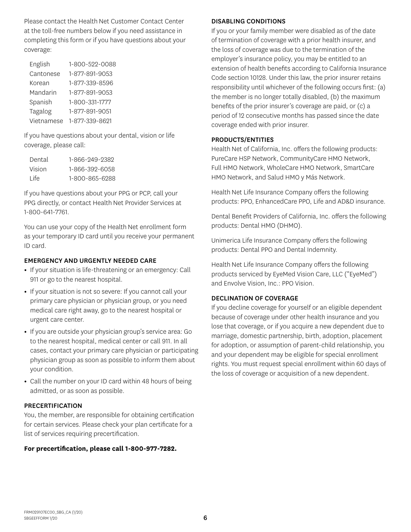Please contact the Health Net Customer Contact Center at the toll-free numbers below if you need assistance in completing this form or if you have questions about your coverage:

| English    | 1-800-522-0088 |
|------------|----------------|
| Cantonese  | 1-877-891-9053 |
| Korean     | 1-877-339-8596 |
| Mandarin   | 1-877-891-9053 |
| Spanish    | 1-800-331-1777 |
| Tagalog    | 1-877-891-9051 |
| Vietnamese | 1-877-339-8621 |

If you have questions about your dental, vision or life coverage, please call:

| Dental | 1-866-949-9389 |
|--------|----------------|
| Vision | 1-866-392-6058 |
| l ife  | 1-800-865-6288 |

If you have questions about your PPG or PCP, call your PPG directly, or contact Health Net Provider Services at 1-800-641-7761.

You can use your copy of the Health Net enrollment form as your temporary ID card until you receive your permanent ID card.

#### EMERGENCY AND URGENTLY NEEDED CARE

- **•** If your situation is life-threatening or an emergency: Call 911 or go to the nearest hospital.
- **•** If your situation is not so severe: If you cannot call your primary care physician or physician group, or you need medical care right away, go to the nearest hospital or urgent care center.
- **•** If you are outside your physician group's service area: Go to the nearest hospital, medical center or call 911. In all cases, contact your primary care physician or participating physician group as soon as possible to inform them about your condition.
- **•** Call the number on your ID card within 48 hours of being admitted, or as soon as possible.

#### PRECERTIFICATION

You, the member, are responsible for obtaining certification for certain services. Please check your plan certificate for a list of services requiring precertification.

#### **For precertification, please call 1-800-977-7282.**

#### DISABLING CONDITIONS

If you or your family member were disabled as of the date of termination of coverage with a prior health insurer, and the loss of coverage was due to the termination of the employer's insurance policy, you may be entitled to an extension of health benefits according to California Insurance Code section 10128. Under this law, the prior insurer retains responsibility until whichever of the following occurs first: (a) the member is no longer totally disabled, (b) the maximum benefits of the prior insurer's coverage are paid, or (c) a period of 12 consecutive months has passed since the date coverage ended with prior insurer.

#### PRODUCTS/ENTITIES

Health Net of California, Inc. offers the following products: PureCare HSP Network, CommunityCare HMO Network, Full HMO Network, WholeCare HMO Network, SmartCare HMO Network, and Salud HMO y Más Network.

Health Net Life Insurance Company offers the following products: PPO, EnhancedCare PPO, Life and AD&D insurance.

Dental Benefit Providers of California, Inc. offers the following products: Dental HMO (DHMO).

Unimerica Life Insurance Company offers the following products: Dental PPO and Dental Indemnity.

Health Net Life Insurance Company offers the following products serviced by EyeMed Vision Care, LLC ("EyeMed") and Envolve Vision, Inc.: PPO Vision.

#### DECLINATION OF COVERAGE

If you decline coverage for yourself or an eligible dependent because of coverage under other health insurance and you lose that coverage, or if you acquire a new dependent due to marriage, domestic partnership, birth, adoption, placement for adoption, or assumption of parent-child relationship, you and your dependent may be eligible for special enrollment rights. You must request special enrollment within 60 days of the loss of coverage or acquisition of a new dependent.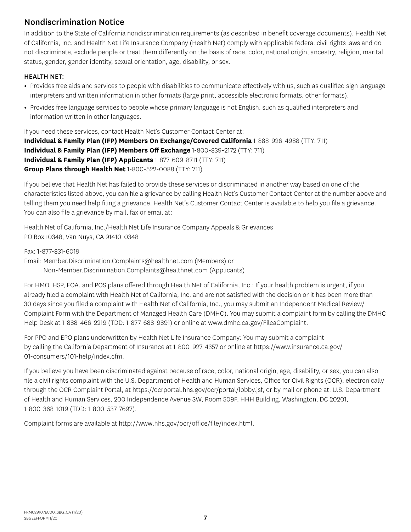# Nondiscrimination Notice

In addition to the State of California nondiscrimination requirements (as described in benefit coverage documents), Health Net of California, Inc. and Health Net Life Insurance Company (Health Net) comply with applicable federal civil rights laws and do not discriminate, exclude people or treat them differently on the basis of race, color, national origin, ancestry, religion, marital status, gender, gender identity, sexual orientation, age, disability, or sex.

### HEALTH NET:

- **•** Provides free aids and services to people with disabilities to communicate effectively with us, such as qualified sign language interpreters and written information in other formats (large print, accessible electronic formats, other formats).
- **•** Provides free language services to people whose primary language is not English, such as qualified interpreters and information written in other languages.

If you need these services, contact Health Net's Customer Contact Center at: **Individual & Family Plan (IFP) Members On Exchange/Covered California** 1-888-926-4988 (TTY: 711) **Individual & Family Plan (IFP) Members Off Exchange** 1-800-839-2172 (TTY: 711) **Individual & Family Plan (IFP) Applicants** 1-877-609-8711 (TTY: 711) **Group Plans through Health Net** 1-800-522-0088 (TTY: 711)

If you believe that Health Net has failed to provide these services or discriminated in another way based on one of the characteristics listed above, you can file a grievance by calling Health Net's Customer Contact Center at the number above and telling them you need help filing a grievance. Health Net's Customer Contact Center is available to help you file a grievance. You can also file a grievance by mail, fax or email at:

Health Net of California, Inc./Health Net Life Insurance Company Appeals & Grievances PO Box 10348, Van Nuys, CA 91410-0348

Fax: 1-877-831-6019 Email: Member.Discrimination.Complaints@healthnet.com (Members) or Non-Member.Discrimination.Complaints@healthnet.com (Applicants)

For HMO, HSP, EOA, and POS plans offered through Health Net of California, Inc.: If your health problem is urgent, if you already filed a complaint with Health Net of California, Inc. and are not satisfied with the decision or it has been more than 30 days since you filed a complaint with Health Net of California, Inc., you may submit an Independent Medical Review/ Complaint Form with the Department of Managed Health Care (DMHC). You may submit a complaint form by calling the DMHC Help Desk at 1-888-466-2219 (TDD: 1-877-688-9891) or online at www.dmhc.ca.gov/FileaComplaint.

For PPO and EPO plans underwritten by Health Net Life Insurance Company: You may submit a complaint by calling the California Department of Insurance at 1-800-927-4357 or online at https://www.insurance.ca.gov/ 01-consumers/101-help/index.cfm.

If you believe you have been discriminated against because of race, color, national origin, age, disability, or sex, you can also file a civil rights complaint with the U.S. Department of Health and Human Services, Office for Civil Rights (OCR), electronically through the OCR Complaint Portal, at https://ocrportal.hhs.gov/ocr/portal/lobby.jsf, or by mail or phone at: U.S. Department of Health and Human Services, 200 Independence Avenue SW, Room 509F, HHH Building, Washington, DC 20201, 1-800-368-1019 (TDD: 1-800-537-7697).

Complaint forms are available at http://www.hhs.gov/ocr/office/file/index.html.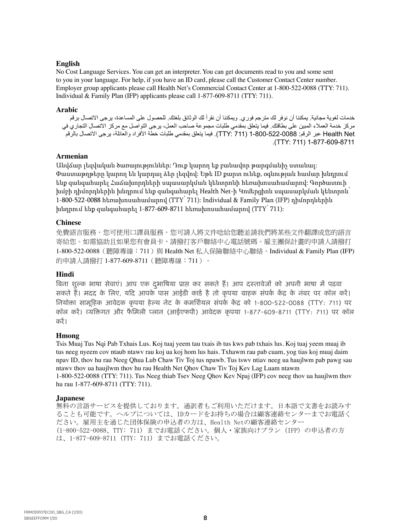#### **English**

No Cost Language Services. You can get an interpreter. You can get documents read to you and some sent to you in your language. For help, if you have an ID card, please call the Customer Contact Center number. Employer group applicants please call Health Net's Commercial Contact Center at 1-800-522-0088 (TTY: 711). Individual & Family Plan (IFP) applicants please call 1-877-609-8711 (TTY: 711).

#### **Arabic**

خدمات لغوية مجانية. يمكننا أن نوفر لك مترجم فوري. ويمكننا أن نقرأ لك الوثائق بلغتك. للحصول على المساعدة، يرجى االتصال برقم مركز خدمة العمالء المبين على بطاقتك. فيما يتعلق بمقدمي طلبات مجموعة صاحب العمل، يرجى التواصل مع مركز االتصال التجاري في Net Health عبر الرقم: 1-800-522-0088 )711 :TTY). فيما يتعلق بمقدمي طلبات خطة األفراد والعائلة، يرجى االتصال بالرقم .(TTY: 711) 1-877-609-8711

#### **Armenian**

Անվճար լեզվական ծառայություններ: Դուք կարող եք բանավոր թարգմանիչ ստանալ: Փաստաթղթերը կարող են կարդալ ձեր լեզվով: Եթե ID քարտ ունեք, օգնության համար խնդրում ենք զանգահարել Հաճախորդների սպասարկման կենտրոնի հեռախոսահամարով: Գործատուի խմբի դիմորդներին խնդրում ենք զանգահարել Health Net-ի Կոմերցիոն սպասարկման կենտրոն՝ 1-800-522-0088 հեռախոսահամարով (TTY՝ 711): Individual & Family Plan (IFP) դիմորդներին խնդրում ենք զանգահարել 1-877-609-8711 հեռախոսահամարով (TTY՝ 711):

#### **Chinese**

免費語言服務。您可使用口譯員服務。您可請人將文件唸給您聽並請我們將某些文件翻譯成您的語言 寄給您。如需協助且如果您有會員卡,請撥打客戶聯絡中心電話號碼。雇主團保計畫的申請人請撥打 1-800-522-0088 (聽障專線: 711) 與 Health Net 私人保險聯絡中心聯絡。Individual & Family Plan (IFP) 的申請人請撥打 1-877-609-8711(聽障專線:711)。

#### **Hindi**

बिना शुल्क भाषा सेवाएं। आप एक दुभाषिया प्राप्त कर सकते हैं। आप दस्तावेजों को अपनी भाषा में पढ़वा सकते हैं। मदद के लिए, यदि आपके पास आईडी कार्ड है तो कृपया ग्राहक संपर्क केंद्र के नंबर पर कॉल करें। लियोक्ता सामूहिक आवेदक कृपया हेल्थ नेट के कमर्शियल संपर्क केंद्र को 1-800-522-0088 (TTY: 711) पर कॉल करें। व्यक्तिगत और फैमिली प्लान (आईएफपी) आवेदक कृपया 1-877-609-8711 (TTY: 711) पर कॉल ्करें।

#### **Hmong**

Tsis Muaj Tus Nqi Pab Txhais Lus. Koj tuaj yeem tau txais ib tus kws pab txhais lus. Koj tuaj yeem muaj ib tus neeg nyeem cov ntaub ntawv rau koj ua koj hom lus hais. Txhawm rau pab cuam, yog tias koj muaj daim npav ID, thov hu rau Neeg Qhua Lub Chaw Tiv Toj tus npawb. Tus tswv ntiav neeg ua haujlwm pab pawg sau ntawv thov ua haujlwm thov hu rau Health Net Qhov Chaw Tiv Toj Kev Lag Luam ntawm 1-800-522-0088 (TTY: 711). Tus Neeg thiab Tsev Neeg Qhov Kev Npaj (IFP) cov neeg thov ua haujlwm thov hu rau 1-877-609-8711 (TTY: 711).

#### **Japanese**

無料の言語サービスを提供しております。通訳者もご利用いただけます。日本語で文書をお読みす ることも可能です。ヘルプについては、IDカードをお持ちの場合は顧客連絡センターまでお電話く ださい。雇用主を通じた団体保険の申込者の方は、Health Netの顧客連絡センター (1-800-522-0088、TTY: 711) までお電話ください。個人・家族向けプラン (IFP) の申込者の方 は、1-877-609-8711 (TTY: 711) までお電話ください。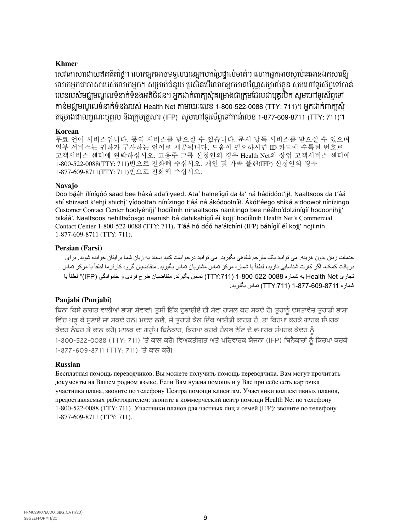#### **Khmer**

សេវាភាសាដោយឥតគិតថ្លៃ។ លោកអ្នកអាចទទួលបានអ្នកបកប្រេច្ចាល់មាត់។ លោកអ្នកអាចស្តាប់គេអានឯកសារឱ្យ លោកអ្នកជាភាសារបស់លោកអ្នក។ សម្រាប់ជំនួយ ប្រសិនបើលោកអ្នកមានបណ្ណសម្គាល់ខ្លួន សូមហោទូរសព្ទិទៅកាន លេខរបសមជ្ឈមណ្ឌលទនាកទនងអតិថជន។ អ្នកដាក់ពាក្យសុគម្រោងជាក្រុមដែលជាបុគ្គលក សូមហោទូរសព្វទោ កាន់មជ្ឈមណ្ឌ លទំនាក់ទំនងរបេ់ Health Net តាមរយៈសលខ 1-800-522-0088 (TTY: 711)។ អ្នកោក់ពាក្យេុំ គម្រោងជាលក្ខណៈបុគ្គល នងក្រុមគ្រួសារ (IFP) សូមហេទូរសព្វទោកានលេខ 1-877-609-8711 (TTY: 711)។

#### **Korean**

무료 언어 서비스입니다. 통역 서비스를 받으실 수 있습니다. 문서 낭독 서비스를 받으실 수 있으며 일부 서비스는 귀하가 구사하는 언어로 제공됩니다. 도움이 필요하시면 ID 카드에 수록된 번호로 고객서비스 센터에 연락하십시오. 고용주 그룹 신청인의 경우 Health Net의 상업 고객서비스 센터에 1-800-522-0088(TTY: 711)번으로 전화해 주십시오. 개인 및 가족 플랜(IFP) 신청인의 경우 1-877-609-8711(TTY: 711)번으로 전화해 주십시오.

#### **Navajo**

Doo bááh ílínígóó saad bee háká ada'iiyeed. Ata' halne'ígíí da ła' ná hádídóot'jił. Naaltsoos da t'áá shí shizaad k'ehjí shichí' yídooltah nínízingo t'áá ná ákódoolnííł. Akót'éego shíká a'doowoł nínízingo Customer Contact Center hoolyéhíji' hodíílnih ninaaltsoos nanitingo bee néého'dolzinígíí hodoonihji' bikáá'. Naaltsoos nehiltsóosgo naanish bá dahikahígíí éí koji' hodíílnih Health Net's Commercial Contact Center 1-800-522-0088 (TTY: 711). T'áá hó dóó ha'áłchíní (IFP) báhígíí éí kojj' hojilnih 1-877-609-8711 (TTY: 711).

#### **Persian (Farsi)**

خدمات زبان بدون هزينه. می توانيد يک مترجم شفاهی بگيريد. می توانيد درخواست کنيد اسناد به زبان شما برايتان خوانده شوند. برای دريافت کمک، اگر کارت شناسايي داريد، لطفاً با شماره مرکز تماس مشتريان تماس بگيريد ِ متقاضيان گروه کارفرما لطفاً با مرکز تماس تجاری Health Net به شماره 1-800-522-0088 (TTY:711) تماس بگیرند. متقاضیان طرح فردی و خانوادگی (IFP)\* لطفأ با شماره 1-877-609-8711 ):711TTY )تماس بگيريد.

### **Panjabi (Punjabi)**

ਬਿਨਾਂ ਕਿਸੇ ਲਾਗਤ ਵਾਲੀਆਂ ਭਾਸ਼ਾ ਸੇਵਾਵਾਂ। ਤੁਸੀਂ ਇੱਕ ਦੁਭਾਸ਼ੀਏ ਦੀ ਸੇਵਾ ਹਾਸਲ ਕਰ ਸਕਦੇ ਹੋ। ਤੁਹਾਨੂੰ ਦਸਤਾਵੇਜ਼ ਤੁਹਾਡੀ ਭਾਸ਼ਾ ਵਿੱਚ ਪੜ੍ਹ ਕੇ ਸੁਣਾਏ ਜਾ ਸਕਦੇ ਹਨ। ਮਦਦ ਲਈ, ਜੇ ਤੁਹਾਡੇ ਕੋਲ ਇੱਕ ਆਈਡੀ ਕਾਰਡ ਹੈ, ਤਾਂ ਕਿਰਪਾ ਕਰਕੇ ਗਾਹਕ ਸੰਪਰਕ ਕੇਂਦਰ ਨੰਬਰ ਤੇ ਕਾਲ ਕਰੋ। ਮਾਲਕ ਦਾ ਗਰੱਪ ਬਿਨੈਕਾਰ, ਕਿਰਪਾ ਕਰਕੇ ਹੈਲਥ ਨੈੱਟ ਦੇ ਵਪਾਰਕ ਸੰਪਰਕ ਕੇਂਦਰ ਨੰ 1-800-522-0088 (TTY: 711) 'ਤੇ ਕਾਲ ਕਰੋ। ਵਿਅਕਤੀਗਤ ਅਤੇ ਪਰਿਵਾਰਕ ਯੋਜਨਾ (IFP) ਬਿਨੈਕਾਰਾਂ ਨੂੰ ਕਿਰਪਾ ਕਰਕੇ 1-877-609-8711 (TTY: 711) 'ਤੇ ਕਾਲ ਕਰੋ।

#### **Russian**

Бесплатная помощь переводчиков. Вы можете получить помощь переводчика. Вам могут прочитать документы на Вашем родном языке. Если Вам нужна помощь и у Вас при себе есть карточка участника плана, звоните по телефону Центра помощи клиентам. Участники коллективных планов, предоставляемых работодателем: звоните в коммерческий центр помощи Health Net по телефону 1‑800‑522‑0088 (TTY: 711). Участники планов для частных лиц и семей (IFP): звоните по телефону 1-877-609-8711 (TTY: 711).